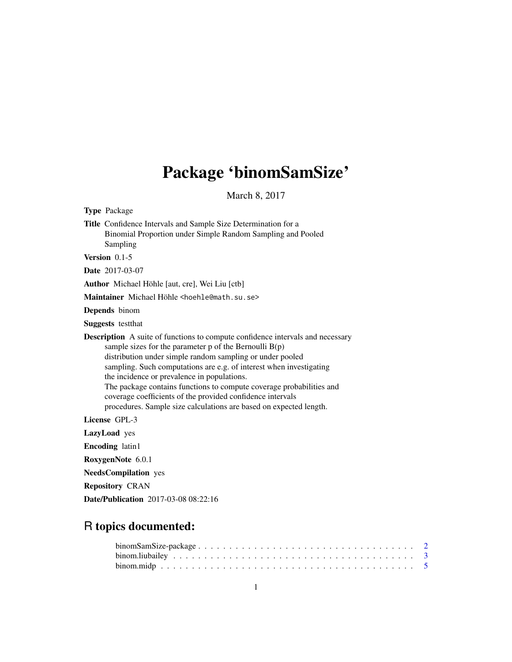# Package 'binomSamSize'

March 8, 2017

<span id="page-0-0"></span>

| Title Confidence Intervals and Sample Size Determination for a<br>Binomial Proportion under Simple Random Sampling and Pooled<br>Sampling<br>Version $0.1-5$<br>Date 2017-03-07<br><b>Author</b> Michael Höhle [aut, cre], Wei Liu [ctb]<br>Maintainer Michael Höhle <hoehle@math.su.se><br/>Depends binom<br/><b>Suggests</b> test that<br/><b>Description</b> A suite of functions to compute confidence intervals and necessary<br/>sample sizes for the parameter <math>p</math> of the Bernoulli <math>B(p)</math><br/>distribution under simple random sampling or under pooled<br/>sampling. Such computations are e.g. of interest when investigating<br/>the incidence or prevalence in populations.<br/>The package contains functions to compute coverage probabilities and<br/>coverage coefficients of the provided confidence intervals<br/>procedures. Sample size calculations are based on expected length.<br/>License GPL-3<br/>LazyLoad yes<br/><b>Encoding</b> latin1<br/>RoxygenNote 6.0.1<br/><b>NeedsCompilation</b> yes<br/><b>Repository CRAN</b><br/><b>Date/Publication</b> 2017-03-08 08:22:16</hoehle@math.su.se> | <b>Type Package</b> |
|-------------------------------------------------------------------------------------------------------------------------------------------------------------------------------------------------------------------------------------------------------------------------------------------------------------------------------------------------------------------------------------------------------------------------------------------------------------------------------------------------------------------------------------------------------------------------------------------------------------------------------------------------------------------------------------------------------------------------------------------------------------------------------------------------------------------------------------------------------------------------------------------------------------------------------------------------------------------------------------------------------------------------------------------------------------------------------------------------------------------------------------------------|---------------------|
|                                                                                                                                                                                                                                                                                                                                                                                                                                                                                                                                                                                                                                                                                                                                                                                                                                                                                                                                                                                                                                                                                                                                                 |                     |
|                                                                                                                                                                                                                                                                                                                                                                                                                                                                                                                                                                                                                                                                                                                                                                                                                                                                                                                                                                                                                                                                                                                                                 |                     |
|                                                                                                                                                                                                                                                                                                                                                                                                                                                                                                                                                                                                                                                                                                                                                                                                                                                                                                                                                                                                                                                                                                                                                 |                     |
|                                                                                                                                                                                                                                                                                                                                                                                                                                                                                                                                                                                                                                                                                                                                                                                                                                                                                                                                                                                                                                                                                                                                                 |                     |
|                                                                                                                                                                                                                                                                                                                                                                                                                                                                                                                                                                                                                                                                                                                                                                                                                                                                                                                                                                                                                                                                                                                                                 |                     |
|                                                                                                                                                                                                                                                                                                                                                                                                                                                                                                                                                                                                                                                                                                                                                                                                                                                                                                                                                                                                                                                                                                                                                 |                     |
|                                                                                                                                                                                                                                                                                                                                                                                                                                                                                                                                                                                                                                                                                                                                                                                                                                                                                                                                                                                                                                                                                                                                                 |                     |
|                                                                                                                                                                                                                                                                                                                                                                                                                                                                                                                                                                                                                                                                                                                                                                                                                                                                                                                                                                                                                                                                                                                                                 |                     |
|                                                                                                                                                                                                                                                                                                                                                                                                                                                                                                                                                                                                                                                                                                                                                                                                                                                                                                                                                                                                                                                                                                                                                 |                     |
|                                                                                                                                                                                                                                                                                                                                                                                                                                                                                                                                                                                                                                                                                                                                                                                                                                                                                                                                                                                                                                                                                                                                                 |                     |
|                                                                                                                                                                                                                                                                                                                                                                                                                                                                                                                                                                                                                                                                                                                                                                                                                                                                                                                                                                                                                                                                                                                                                 |                     |
|                                                                                                                                                                                                                                                                                                                                                                                                                                                                                                                                                                                                                                                                                                                                                                                                                                                                                                                                                                                                                                                                                                                                                 |                     |
|                                                                                                                                                                                                                                                                                                                                                                                                                                                                                                                                                                                                                                                                                                                                                                                                                                                                                                                                                                                                                                                                                                                                                 |                     |
|                                                                                                                                                                                                                                                                                                                                                                                                                                                                                                                                                                                                                                                                                                                                                                                                                                                                                                                                                                                                                                                                                                                                                 |                     |
|                                                                                                                                                                                                                                                                                                                                                                                                                                                                                                                                                                                                                                                                                                                                                                                                                                                                                                                                                                                                                                                                                                                                                 |                     |

# R topics documented: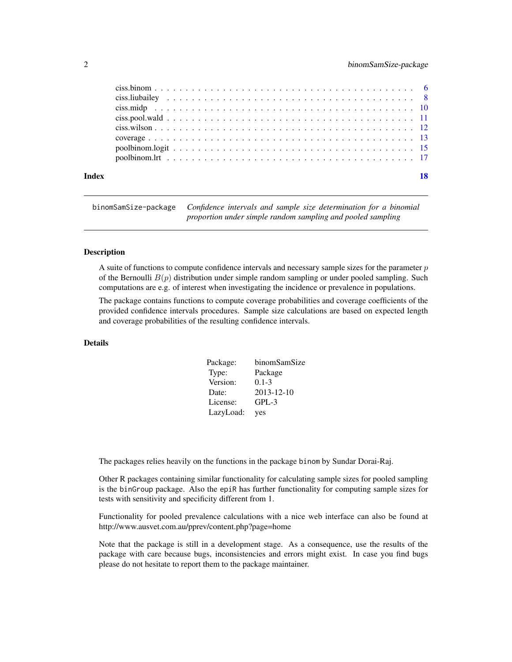<span id="page-1-0"></span>

|  |  |  |  |  |  |  |  |  |  |  |  |  |  |  |  |  |  |  | 18 |
|--|--|--|--|--|--|--|--|--|--|--|--|--|--|--|--|--|--|--|----|
|  |  |  |  |  |  |  |  |  |  |  |  |  |  |  |  |  |  |  |    |

binomSamSize-package *Confidence intervals and sample size determination for a binomial proportion under simple random sampling and pooled sampling*

#### Description

A suite of functions to compute confidence intervals and necessary sample sizes for the parameter  $p$ of the Bernoulli  $B(p)$  distribution under simple random sampling or under pooled sampling. Such computations are e.g. of interest when investigating the incidence or prevalence in populations.

The package contains functions to compute coverage probabilities and coverage coefficients of the provided confidence intervals procedures. Sample size calculations are based on expected length and coverage probabilities of the resulting confidence intervals.

#### Details

| Package:  | binomSamSize |
|-----------|--------------|
| Type:     | Package      |
| Version:  | $0.1 - 3$    |
| Date:     | 2013-12-10   |
| License:  | $GPL-3$      |
| LazyLoad: | yes          |

The packages relies heavily on the functions in the package binom by Sundar Dorai-Raj.

Other R packages containing similar functionality for calculating sample sizes for pooled sampling is the binGroup package. Also the epiR has further functionality for computing sample sizes for tests with sensitivity and specificity different from 1.

Functionality for pooled prevalence calculations with a nice web interface can also be found at http://www.ausvet.com.au/pprev/content.php?page=home

Note that the package is still in a development stage. As a consequence, use the results of the package with care because bugs, inconsistencies and errors might exist. In case you find bugs please do not hesitate to report them to the package maintainer.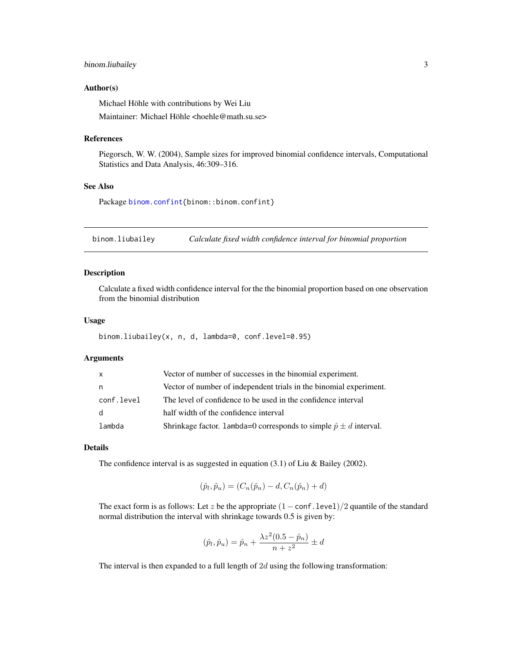# <span id="page-2-0"></span>binom.liubailey 3

#### Author(s)

Michael Höhle with contributions by Wei Liu Maintainer: Michael Höhle <hoehle@math.su.se>

#### References

Piegorsch, W. W. (2004), Sample sizes for improved binomial confidence intervals, Computational Statistics and Data Analysis, 46:309–316.

# See Also

Package [binom.confint{](#page-0-0)binom::binom.confint}

<span id="page-2-1"></span>binom.liubailey *Calculate fixed width confidence interval for binomial proportion*

#### Description

Calculate a fixed width confidence interval for the the binomial proportion based on one observation from the binomial distribution

#### Usage

```
binom.liubailey(x, n, d, lambda=0, conf.level=0.95)
```
# Arguments

| $\mathsf{x}$ | Vector of number of successes in the binomial experiment.                  |
|--------------|----------------------------------------------------------------------------|
| n.           | Vector of number of independent trials in the binomial experiment.         |
| conf.level   | The level of confidence to be used in the confidence interval              |
| d            | half width of the confidence interval                                      |
| lambda       | Shrinkage factor. 1ambda=0 corresponds to simple $\hat{p} \pm d$ interval. |

#### Details

The confidence interval is as suggested in equation (3.1) of Liu & Bailey (2002).

$$
(\hat{p}_l, \hat{p}_u) = (C_n(\hat{p}_n) - d, C_n(\hat{p}_n) + d)
$$

The exact form is as follows: Let z be the appropriate  $(1 - \text{conf. level})/2$  quantile of the standard normal distribution the interval with shrinkage towards 0.5 is given by:

$$
(\hat{p}_l, \hat{p}_u) = \hat{p}_n + \frac{\lambda z^2 (0.5 - \hat{p}_n)}{n + z^2} \pm d
$$

The interval is then expanded to a full length of  $2d$  using the following transformation: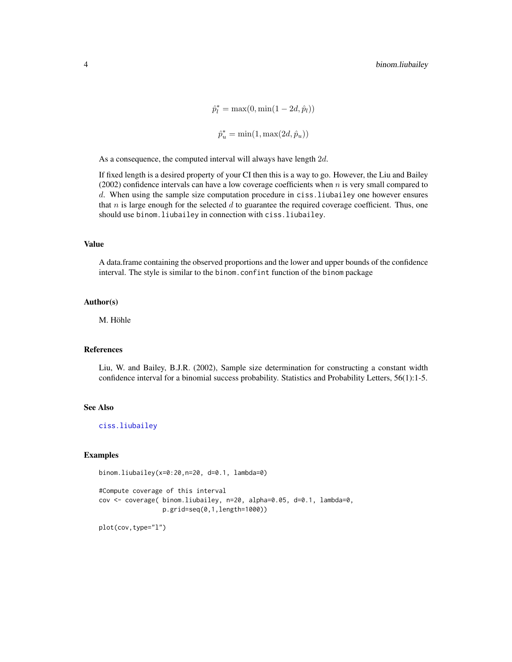```
\hat{p}_l^* = \max(0, \min(1 - 2d, \hat{p}_l))\hat{p}_u^* = \min(1, \max(2d, \hat{p}_u))
```
<span id="page-3-0"></span>As a consequence, the computed interval will always have length 2d.

If fixed length is a desired property of your CI then this is a way to go. However, the Liu and Bailey  $(2002)$  confidence intervals can have a low coverage coefficients when n is very small compared to d. When using the sample size computation procedure in ciss.liubailey one however ensures that n is large enough for the selected  $d$  to guarantee the required coverage coefficient. Thus, one should use binom.liubailey in connection with ciss.liubailey.

# Value

A data.frame containing the observed proportions and the lower and upper bounds of the confidence interval. The style is similar to the binom.confint function of the binom package

#### Author(s)

M. Höhle

# References

Liu, W. and Bailey, B.J.R. (2002), Sample size determination for constructing a constant width confidence interval for a binomial success probability. Statistics and Probability Letters, 56(1):1-5.

#### See Also

[ciss.liubailey](#page-7-1)

# Examples

```
binom.liubailey(x=0:20,n=20, d=0.1, lambda=0)
```

```
#Compute coverage of this interval
cov <- coverage( binom.liubailey, n=20, alpha=0.05, d=0.1, lambda=0,
                 p.grid=seq(0,1,length=1000))
```
plot(cov,type="l")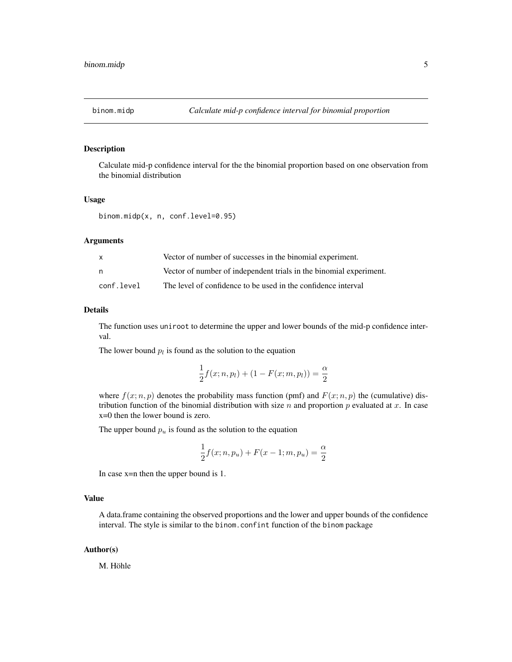<span id="page-4-1"></span><span id="page-4-0"></span>

# Description

Calculate mid-p confidence interval for the the binomial proportion based on one observation from the binomial distribution

#### Usage

binom.midp(x, n, conf.level=0.95)

#### Arguments

| x          | Vector of number of successes in the binomial experiment.          |
|------------|--------------------------------------------------------------------|
| n          | Vector of number of independent trials in the binomial experiment. |
| conf.level | The level of confidence to be used in the confidence interval      |

#### Details

The function uses uniroot to determine the upper and lower bounds of the mid-p confidence interval.

The lower bound  $p_l$  is found as the solution to the equation

$$
\frac{1}{2}f(x; n, p_l) + (1 - F(x; m, p_l)) = \frac{\alpha}{2}
$$

where  $f(x; n, p)$  denotes the probability mass function (pmf) and  $F(x; n, p)$  the (cumulative) distribution function of the binomial distribution with size  $n$  and proportion  $p$  evaluated at  $x$ . In case x=0 then the lower bound is zero.

The upper bound  $p_u$  is found as the solution to the equation

$$
\frac{1}{2}f(x; n, p_u) + F(x - 1; m, p_u) = \frac{\alpha}{2}
$$

In case  $x=n$  then the upper bound is 1.

# Value

A data.frame containing the observed proportions and the lower and upper bounds of the confidence interval. The style is similar to the binom.confint function of the binom package

#### Author(s)

M. Höhle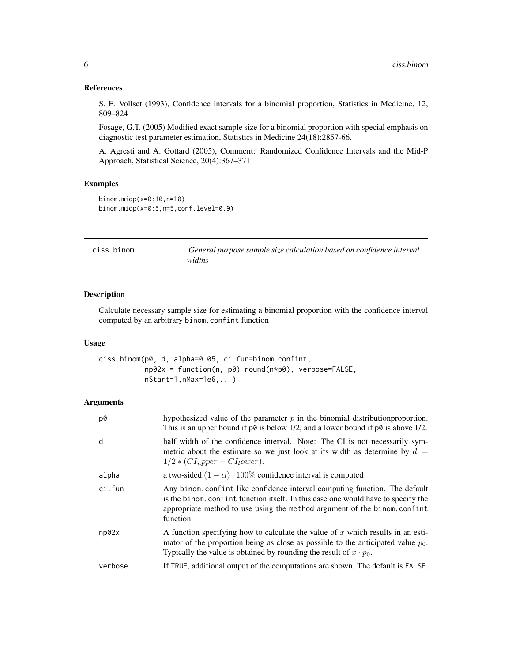# <span id="page-5-0"></span>References

S. E. Vollset (1993), Confidence intervals for a binomial proportion, Statistics in Medicine, 12, 809–824

Fosage, G.T. (2005) Modified exact sample size for a binomial proportion with special emphasis on diagnostic test parameter estimation, Statistics in Medicine 24(18):2857-66.

A. Agresti and A. Gottard (2005), Comment: Randomized Confidence Intervals and the Mid-P Approach, Statistical Science, 20(4):367–371

# Examples

```
binom.midp(x=0:10,n=10)
binom.midp(x=0:5,n=5,conf.level=0.9)
```
<span id="page-5-1"></span>

| ciss.binom | General purpose sample size calculation based on confidence interval |
|------------|----------------------------------------------------------------------|
|            | widths                                                               |

# Description

Calculate necessary sample size for estimating a binomial proportion with the confidence interval computed by an arbitrary binom.confint function

# Usage

```
ciss.binom(p0, d, alpha=0.05, ci.fun=binom.confint,
          np02x = function(n, p0) round(n*p0), verbose=FALSE,
          nStart=1,nMax=1e6,...)
```
# Arguments

| p0      | hypothesized value of the parameter $p$ in the binomial distribution proportion.<br>This is an upper bound if $p\theta$ is below 1/2, and a lower bound if $p\theta$ is above 1/2.                                                                       |
|---------|----------------------------------------------------------------------------------------------------------------------------------------------------------------------------------------------------------------------------------------------------------|
| d       | half width of the confidence interval. Note: The CI is not necessarily sym-<br>metric about the estimate so we just look at its width as determine by $d =$<br>$1/2 * (CIupper - CIlower).$                                                              |
| alpha   | a two-sided $(1 - \alpha) \cdot 100\%$ confidence interval is computed                                                                                                                                                                                   |
| ci.fun  | Any binom confint like confidence interval computing function. The default<br>is the binom. confint function itself. In this case one would have to specify the<br>appropriate method to use using the method argument of the binom.confint<br>function. |
| np02x   | A function specifying how to calculate the value of x which results in an esti-<br>mator of the proportion being as close as possible to the anticipated value $p_0$ .<br>Typically the value is obtained by rounding the result of $x \cdot p_0$ .      |
| verbose | If TRUE, additional output of the computations are shown. The default is FALSE.                                                                                                                                                                          |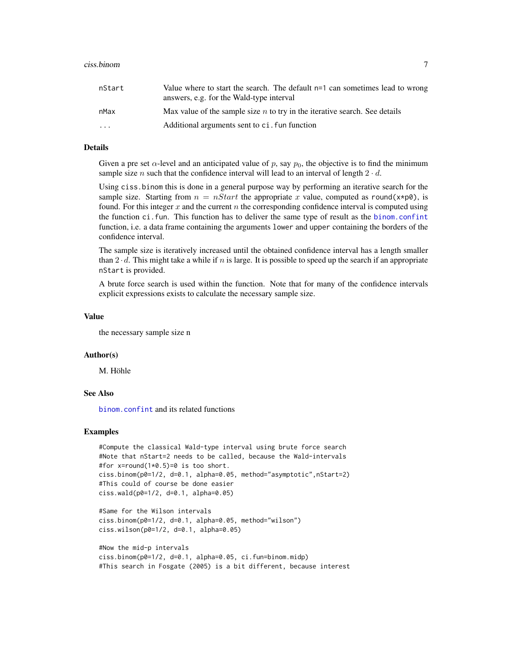#### <span id="page-6-0"></span>ciss.binom 7

| nStart                  | Value where to start the search. The default $n=1$ can sometimes lead to wrong<br>answers, e.g. for the Wald-type interval |
|-------------------------|----------------------------------------------------------------------------------------------------------------------------|
| nMax                    | Max value of the sample size $n$ to try in the iterative search. See details                                               |
| $\cdot$ $\cdot$ $\cdot$ | Additional arguments sent to ci. fun function                                                                              |

# Details

Given a pre set  $\alpha$ -level and an anticipated value of p, say  $p_0$ , the objective is to find the minimum sample size n such that the confidence interval will lead to an interval of length  $2 \cdot d$ .

Using ciss.binom this is done in a general purpose way by performing an iterative search for the sample size. Starting from  $n = nStart$  the appropriate x value, computed as round( $x \neq p\emptyset$ ), is found. For this integer  $x$  and the current  $n$  the corresponding confidence interval is computed using the function ci.fun. This function has to deliver the same type of result as the [binom.confint](#page-0-0) function, i.e. a data frame containing the arguments lower and upper containing the borders of the confidence interval.

The sample size is iteratively increased until the obtained confidence interval has a length smaller than  $2 \cdot d$ . This might take a while if n is large. It is possible to speed up the search if an appropriate nStart is provided.

A brute force search is used within the function. Note that for many of the confidence intervals explicit expressions exists to calculate the necessary sample size.

# Value

the necessary sample size n

#### Author(s)

M. Höhle

# See Also

[binom.confint](#page-0-0) and its related functions

# Examples

```
#Compute the classical Wald-type interval using brute force search
#Note that nStart=2 needs to be called, because the Wald-intervals
#for x=round(1*0.5)=0 is too short.
ciss.binom(p0=1/2, d=0.1, alpha=0.05, method="asymptotic",nStart=2)
#This could of course be done easier
ciss.wald(p0=1/2, d=0.1, alpha=0.05)
```

```
#Same for the Wilson intervals
ciss.binom(p0=1/2, d=0.1, alpha=0.05, method="wilson")
ciss.wilson(p0=1/2, d=0.1, alpha=0.05)
```

```
#Now the mid-p intervals
ciss.binom(p0=1/2, d=0.1, alpha=0.05, ci.fun=binom.midp)
#This search in Fosgate (2005) is a bit different, because interest
```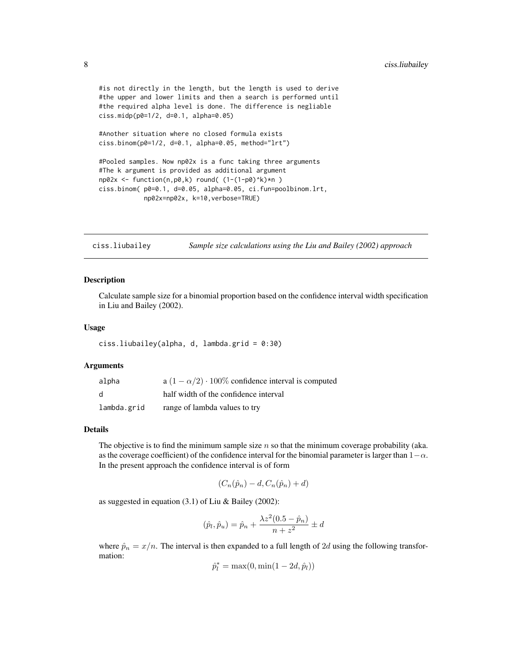<span id="page-7-0"></span>#is not directly in the length, but the length is used to derive #the upper and lower limits and then a search is performed until #the required alpha level is done. The difference is negliable ciss.midp(p0=1/2, d=0.1, alpha=0.05)

```
#Another situation where no closed formula exists
ciss.binom(p0=1/2, d=0.1, alpha=0.05, method="lrt")
```

```
#Pooled samples. Now np02x is a func taking three arguments
#The k argument is provided as additional argument
np02x \leq - function(n,p0,k) round( (1-(1-p0)^{k})\neq n )
ciss.binom( p0=0.1, d=0.05, alpha=0.05, ci.fun=poolbinom.lrt,
            np02x=np02x, k=10,verbose=TRUE)
```
<span id="page-7-1"></span>ciss.liubailey *Sample size calculations using the Liu and Bailey (2002) approach*

#### Description

Calculate sample size for a binomial proportion based on the confidence interval width specification in Liu and Bailey (2002).

#### Usage

```
ciss.liubailey(alpha, d, lambda.grid = 0:30)
```
#### Arguments

| alpha       | a $(1 - \alpha/2) \cdot 100\%$ confidence interval is computed |
|-------------|----------------------------------------------------------------|
| d           | half width of the confidence interval                          |
| lambda.grid | range of lambda values to try                                  |

#### Details

The objective is to find the minimum sample size  $n$  so that the minimum coverage probability (aka. as the coverage coefficient) of the confidence interval for the binomial parameter is larger than  $1-\alpha$ . In the present approach the confidence interval is of form

$$
(C_n(\hat{p}_n) - d, C_n(\hat{p}_n) + d)
$$

as suggested in equation (3.1) of Liu & Bailey (2002):

$$
(\hat{p}_l, \hat{p}_u) = \hat{p}_n + \frac{\lambda z^2 (0.5 - \hat{p}_n)}{n + z^2} \pm d
$$

where  $\hat{p}_n = x/n$ . The interval is then expanded to a full length of 2d using the following transformation:

$$
\hat{p}_l^* = \max(0, \min(1 - 2d, \hat{p}_l))
$$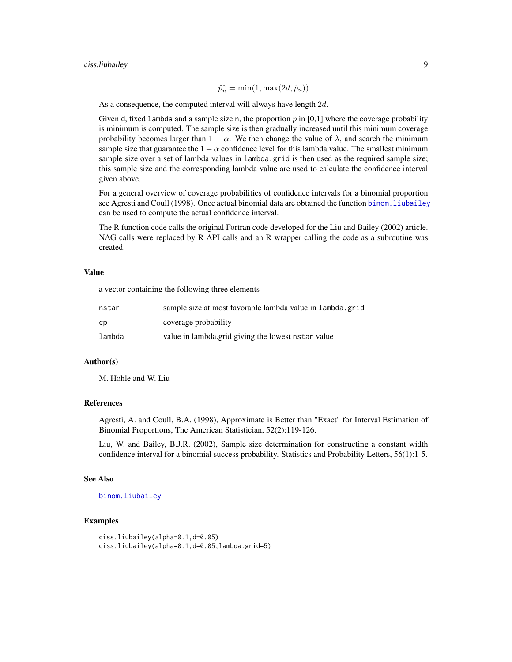$$
\hat{p}^*_u = \min(1, \max(2d, \hat{p}_u))
$$

<span id="page-8-0"></span>As a consequence, the computed interval will always have length  $2d$ .

Given d, fixed lambda and a sample size n, the proportion  $p$  in [0,1] where the coverage probability is minimum is computed. The sample size is then gradually increased until this minimum coverage probability becomes larger than  $1 - \alpha$ . We then change the value of  $\lambda$ , and search the minimum sample size that guarantee the  $1 - \alpha$  confidence level for this lambda value. The smallest minimum sample size over a set of lambda values in lambda.grid is then used as the required sample size; this sample size and the corresponding lambda value are used to calculate the confidence interval given above.

For a general overview of coverage probabilities of confidence intervals for a binomial proportion see Agresti and Coull (1998). Once actual binomial data are obtained the function [binom.liubailey](#page-2-1) can be used to compute the actual confidence interval.

The R function code calls the original Fortran code developed for the Liu and Bailey (2002) article. NAG calls were replaced by R API calls and an R wrapper calling the code as a subroutine was created.

# Value

a vector containing the following three elements

| nstar  | sample size at most favorable lambda value in lambda.grid |
|--------|-----------------------------------------------------------|
| cp     | coverage probability                                      |
| lambda | value in lambda.grid giving the lowest nstar value        |

#### Author(s)

M. Höhle and W. Liu

# References

Agresti, A. and Coull, B.A. (1998), Approximate is Better than "Exact" for Interval Estimation of Binomial Proportions, The American Statistician, 52(2):119-126.

Liu, W. and Bailey, B.J.R. (2002), Sample size determination for constructing a constant width confidence interval for a binomial success probability. Statistics and Probability Letters, 56(1):1-5.

#### See Also

[binom.liubailey](#page-2-1)

#### Examples

```
ciss.liubailey(alpha=0.1,d=0.05)
ciss.liubailey(alpha=0.1,d=0.05,lambda.grid=5)
```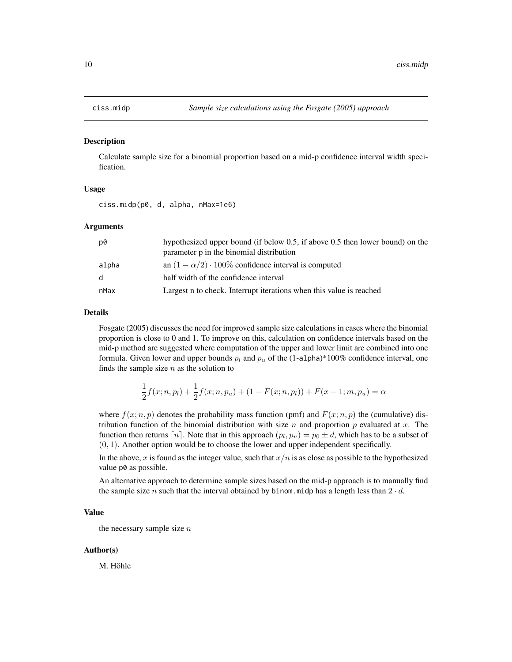<span id="page-9-1"></span><span id="page-9-0"></span>

#### Description

Calculate sample size for a binomial proportion based on a mid-p confidence interval width specification.

#### Usage

ciss.midp(p0, d, alpha, nMax=1e6)

#### Arguments

| p0    | hypothesized upper bound (if below 0.5, if above 0.5 then lower bound) on the<br>parameter p in the binomial distribution |
|-------|---------------------------------------------------------------------------------------------------------------------------|
| alpha | an $(1 - \alpha/2) \cdot 100\%$ confidence interval is computed                                                           |
| - d   | half width of the confidence interval                                                                                     |
| nMax  | Largest n to check. Interrupt iterations when this value is reached                                                       |

#### Details

Fosgate (2005) discusses the need for improved sample size calculations in cases where the binomial proportion is close to 0 and 1. To improve on this, calculation on confidence intervals based on the mid-p method are suggested where computation of the upper and lower limit are combined into one formula. Given lower and upper bounds  $p_l$  and  $p_u$  of the (1-alpha)\*100% confidence interval, one finds the sample size  $n$  as the solution to

$$
\frac{1}{2}f(x; n, p_l) + \frac{1}{2}f(x; n, p_u) + (1 - F(x; n, p_l)) + F(x - 1; m, p_u) = \alpha
$$

where  $f(x; n, p)$  denotes the probability mass function (pmf) and  $F(x; n, p)$  the (cumulative) distribution function of the binomial distribution with size n and proportion p evaluated at x. The function then returns  $\lceil n \rceil$ . Note that in this approach  $(p_l, p_u) = p_0 \pm d$ , which has to be a subset of  $(0, 1)$ . Another option would be to choose the lower and upper independent specifically.

In the above, x is found as the integer value, such that  $x/n$  is as close as possible to the hypothesized value p0 as possible.

An alternative approach to determine sample sizes based on the mid-p approach is to manually find the sample size n such that the interval obtained by binom.midp has a length less than  $2 \cdot d$ .

# Value

the necessary sample size  $n$ 

#### Author(s)

M. Höhle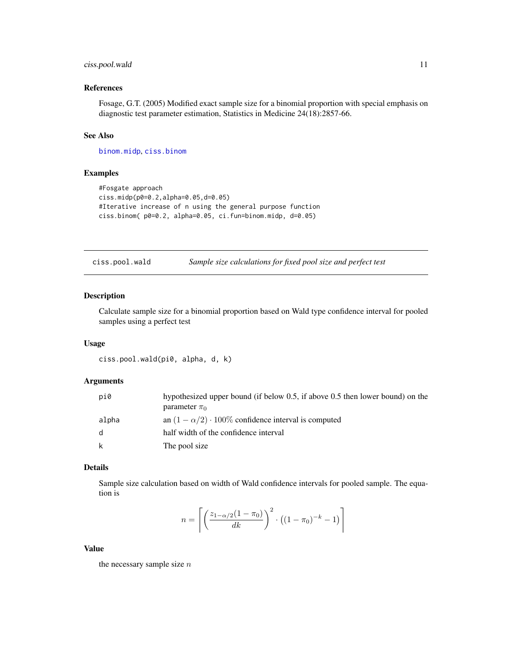# <span id="page-10-0"></span>ciss.pool.wald 11

# References

Fosage, G.T. (2005) Modified exact sample size for a binomial proportion with special emphasis on diagnostic test parameter estimation, Statistics in Medicine 24(18):2857-66.

# See Also

[binom.midp](#page-4-1), [ciss.binom](#page-5-1)

# Examples

```
#Fosgate approach
ciss.midp(p0=0.2,alpha=0.05,d=0.05)
#Iterative increase of n using the general purpose function
ciss.binom( p0=0.2, alpha=0.05, ci.fun=binom.midp, d=0.05)
```
ciss.pool.wald *Sample size calculations for fixed pool size and perfect test*

#### Description

Calculate sample size for a binomial proportion based on Wald type confidence interval for pooled samples using a perfect test

#### Usage

```
ciss.pool.wald(pi0, alpha, d, k)
```
# Arguments

| pi0   | hypothesized upper bound (if below 0.5, if above 0.5 then lower bound) on the<br>parameter $\pi_0$ |
|-------|----------------------------------------------------------------------------------------------------|
| alpha | an $(1 - \alpha/2) \cdot 100\%$ confidence interval is computed                                    |
| - d   | half width of the confidence interval                                                              |
| k.    | The pool size                                                                                      |

#### Details

Sample size calculation based on width of Wald confidence intervals for pooled sample. The equation is

$$
n = \left[ \left( \frac{z_{1-\alpha/2}(1-\pi_0)}{dk} \right)^2 \cdot \left( (1-\pi_0)^{-k} - 1 \right) \right]
$$

# Value

the necessary sample size  $n$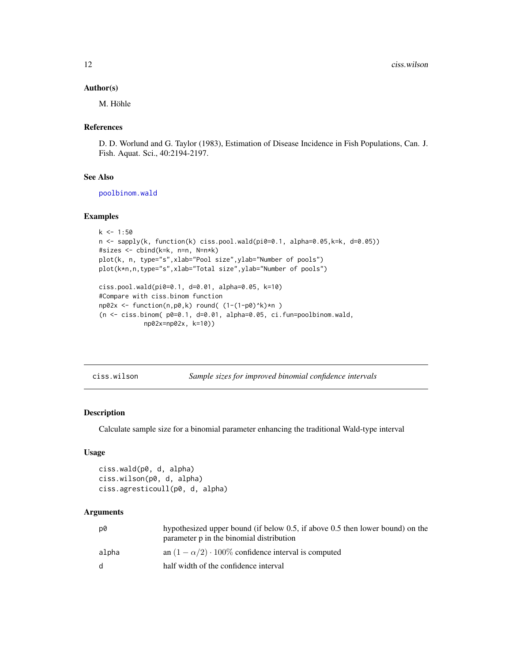#### <span id="page-11-0"></span>Author(s)

M. Höhle

#### References

D. D. Worlund and G. Taylor (1983), Estimation of Disease Incidence in Fish Populations, Can. J. Fish. Aquat. Sci., 40:2194-2197.

#### See Also

[poolbinom.wald](#page-14-1)

# Examples

```
k \le -1:50n <- sapply(k, function(k) ciss.pool.wald(pi0=0.1, alpha=0.05,k=k, d=0.05))
#sizes <- cbind(k=k, n=n, N=n*k)
plot(k, n, type="s",xlab="Pool size",ylab="Number of pools")
plot(k*n,n,type="s",xlab="Total size",ylab="Number of pools")
```

```
ciss.pool.wald(pi0=0.1, d=0.01, alpha=0.05, k=10)
#Compare with ciss.binom function
np02x <- function(n,p0,k) round( (1-(1-p0)^k)*n )
(n <- ciss.binom( p0=0.1, d=0.01, alpha=0.05, ci.fun=poolbinom.wald,
            np02x=np02x, k=10))
```

| ciss.wilson | Sample sizes for improved binomial confidence intervals |
|-------------|---------------------------------------------------------|
|             |                                                         |

# Description

Calculate sample size for a binomial parameter enhancing the traditional Wald-type interval

# Usage

```
ciss.wald(p0, d, alpha)
ciss.wilson(p0, d, alpha)
ciss.agresticoull(p0, d, alpha)
```
### Arguments

| p0    | hypothesized upper bound (if below 0.5, if above 0.5 then lower bound) on the<br>parameter p in the binomial distribution |
|-------|---------------------------------------------------------------------------------------------------------------------------|
| alpha | an $(1 - \alpha/2) \cdot 100\%$ confidence interval is computed                                                           |
| d.    | half width of the confidence interval                                                                                     |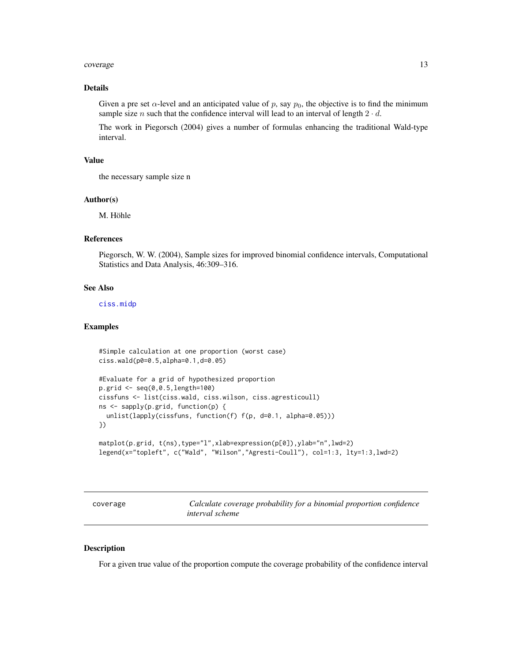#### <span id="page-12-0"></span>coverage the contract of the contract of the contract of the contract of the contract of the contract of the contract of the contract of the contract of the contract of the contract of the contract of the contract of the c

# Details

Given a pre set  $\alpha$ -level and an anticipated value of p, say  $p_0$ , the objective is to find the minimum sample size *n* such that the confidence interval will lead to an interval of length  $2 \cdot d$ .

The work in Piegorsch (2004) gives a number of formulas enhancing the traditional Wald-type interval.

# Value

the necessary sample size n

#### Author(s)

M. Höhle

# References

Piegorsch, W. W. (2004), Sample sizes for improved binomial confidence intervals, Computational Statistics and Data Analysis, 46:309–316.

# See Also

[ciss.midp](#page-9-1)

# Examples

```
#Simple calculation at one proportion (worst case)
ciss.wald(p0=0.5,alpha=0.1,d=0.05)
#Evaluate for a grid of hypothesized proportion
p.grid <- seq(0,0.5,length=100)
cissfuns <- list(ciss.wald, ciss.wilson, ciss.agresticoull)
ns <- sapply(p.grid, function(p) {
  unlist(lapply(cissfuns, function(f) f(p, d=0.1, alpha=0.05)))
})
```

```
matplot(p.grid, t(ns),type="l",xlab=expression(p[0]),ylab="n",lwd=2)
legend(x="topleft", c("Wald", "Wilson","Agresti-Coull"), col=1:3, lty=1:3,lwd=2)
```
coverage *Calculate coverage probability for a binomial proportion confidence interval scheme*

#### Description

For a given true value of the proportion compute the coverage probability of the confidence interval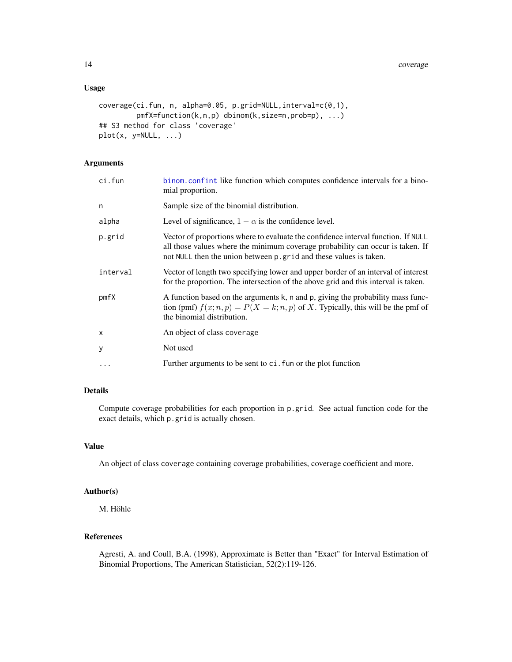<span id="page-13-0"></span>14 coverage coverage control of the state of the state of the state coverage coverage

# Usage

```
coverage(ci.fun, n, alpha=0.05, p.grid=NULL,interval=c(0,1),
        pmfX=function(k,n,p) dbinom(k,size=n,prob=p), ...)
## S3 method for class 'coverage'
plot(x, y=NULL, ...)
```
#### Arguments

| ci.fun   | binom confint like function which computes confidence intervals for a bino-<br>mial proportion.                                                                                                                                          |
|----------|------------------------------------------------------------------------------------------------------------------------------------------------------------------------------------------------------------------------------------------|
| n        | Sample size of the binomial distribution.                                                                                                                                                                                                |
| alpha    | Level of significance, $1 - \alpha$ is the confidence level.                                                                                                                                                                             |
| p.grid   | Vector of proportions where to evaluate the confidence interval function. If NULL<br>all those values where the minimum coverage probability can occur is taken. If<br>not NULL then the union between p.grid and these values is taken. |
| interval | Vector of length two specifying lower and upper border of an interval of interest<br>for the proportion. The intersection of the above grid and this interval is taken.                                                                  |
| pmfX     | A function based on the arguments k, n and p, giving the probability mass func-<br>tion (pmf) $f(x; n, p) = P(X = k; n, p)$ of X. Typically, this will be the pmf of<br>the binomial distribution.                                       |
| X        | An object of class coverage                                                                                                                                                                                                              |
| у        | Not used                                                                                                                                                                                                                                 |
| $\cdots$ | Further arguments to be sent to ci. fun or the plot function                                                                                                                                                                             |

# Details

Compute coverage probabilities for each proportion in p.grid. See actual function code for the exact details, which p.grid is actually chosen.

# Value

An object of class coverage containing coverage probabilities, coverage coefficient and more.

# Author(s)

M. Höhle

# References

Agresti, A. and Coull, B.A. (1998), Approximate is Better than "Exact" for Interval Estimation of Binomial Proportions, The American Statistician, 52(2):119-126.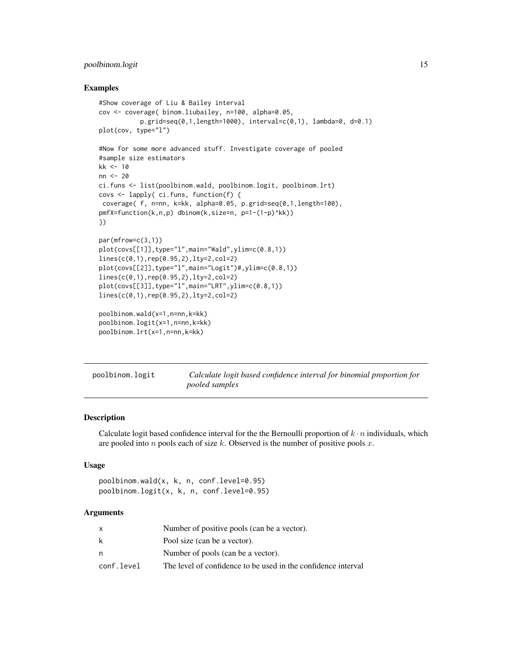# <span id="page-14-0"></span>poolbinom.logit 15

#### Examples

```
#Show coverage of Liu & Bailey interval
cov <- coverage( binom.liubailey, n=100, alpha=0.05,
           p.grid=seq(0,1,length=1000), interval=c(0,1), lambda=0, d=0.1)
plot(cov, type="l")
#Now for some more advanced stuff. Investigate coverage of pooled
#sample size estimators
kk < -10nn <- 20
ci.funs <- list(poolbinom.wald, poolbinom.logit, poolbinom.lrt)
covs <- lapply( ci.funs, function(f) {
coverage( f, n=nn, k=kk, alpha=0.05, p.grid=seq(0,1,length=100),
pmfX=function(k,n,p) dbinom(k,size=n, p=1-(1-p)^kk))
})
par(mfrow=c(3,1))
plot(covs[[1]],type="l",main="Wald",ylim=c(0.8,1))
lines(c(0,1),rep(0.95,2),lty=2,col=2)
plot(covs[[2]],type="l",main="Logit")#,ylim=c(0.8,1))
lines(c(0,1),rep(0.95,2),lty=2,col=2)
plot(covs[[3]],type="l",main="LRT",ylim=c(0.8,1))
lines(c(0,1),rep(0.95,2),lty=2,col=2)
poolbinom.wald(x=1,n=nn,k=kk)
poolbinom.logit(x=1,n=nn,k=kk)
poolbinom.lrt(x=1,n=nn,k=kk)
```
<span id="page-14-2"></span>poolbinom.logit *Calculate logit based confidence interval for binomial proportion for pooled samples*

#### <span id="page-14-1"></span>Description

Calculate logit based confidence interval for the the Bernoulli proportion of  $k \cdot n$  individuals, which are pooled into  $n$  pools each of size  $k$ . Observed is the number of positive pools  $x$ .

# Usage

```
poolbinom.wald(x, k, n, conf.level=0.95)
poolbinom.logit(x, k, n, conf.level=0.95)
```
### Arguments

|            | Number of positive pools (can be a vector).                   |
|------------|---------------------------------------------------------------|
| k          | Pool size (can be a vector).                                  |
| n          | Number of pools (can be a vector).                            |
| conf.level | The level of confidence to be used in the confidence interval |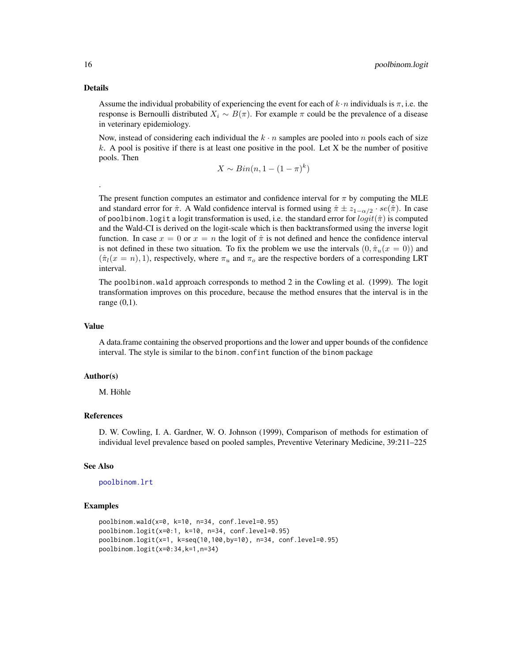#### <span id="page-15-0"></span>Details

.

Assume the individual probability of experiencing the event for each of  $k \cdot n$  individuals is  $\pi$ , i.e. the response is Bernoulli distributed  $X_i \sim B(\pi)$ . For example  $\pi$  could be the prevalence of a disease in veterinary epidemiology.

Now, instead of considering each individual the  $k \cdot n$  samples are pooled into n pools each of size  $k$ . A pool is positive if there is at least one positive in the pool. Let X be the number of positive pools. Then

$$
X \sim Bin(n, 1 - (1 - \pi)^k)
$$

The present function computes an estimator and confidence interval for  $\pi$  by computing the MLE and standard error for  $\hat{\pi}$ . A Wald confidence interval is formed using  $\hat{\pi} \pm z_{1-\alpha/2} \cdot se(\hat{\pi})$ . In case of poolbinom. logit a logit transformation is used, i.e. the standard error for  $logit(\hat{\pi})$  is computed and the Wald-CI is derived on the logit-scale which is then backtransformed using the inverse logit function. In case  $x = 0$  or  $x = n$  the logit of  $\hat{\pi}$  is not defined and hence the confidence interval is not defined in these two situation. To fix the problem we use the intervals  $(0, \hat{\pi}_u(x = 0))$  and  $(\hat{\pi}_l(x = n), 1)$ , respectively, where  $\pi_u$  and  $\pi_o$  are the respective borders of a corresponding LRT interval.

The poolbinom.wald approach corresponds to method 2 in the Cowling et al. (1999). The logit transformation improves on this procedure, because the method ensures that the interval is in the range (0,1).

#### Value

A data.frame containing the observed proportions and the lower and upper bounds of the confidence interval. The style is similar to the binom.confint function of the binom package

#### Author(s)

M. Höhle

#### References

D. W. Cowling, I. A. Gardner, W. O. Johnson (1999), Comparison of methods for estimation of individual level prevalence based on pooled samples, Preventive Veterinary Medicine, 39:211–225

# See Also

#### [poolbinom.lrt](#page-16-1)

#### Examples

```
poolbinom.wald(x=0, k=10, n=34, conf.level=0.95)
poolbinom.logit(x=0:1, k=10, n=34, conf.level=0.95)
poolbinom.logit(x=1, k=seq(10,100,by=10), n=34, conf.level=0.95)
poolbinom.logit(x=0:34,k=1,n=34)
```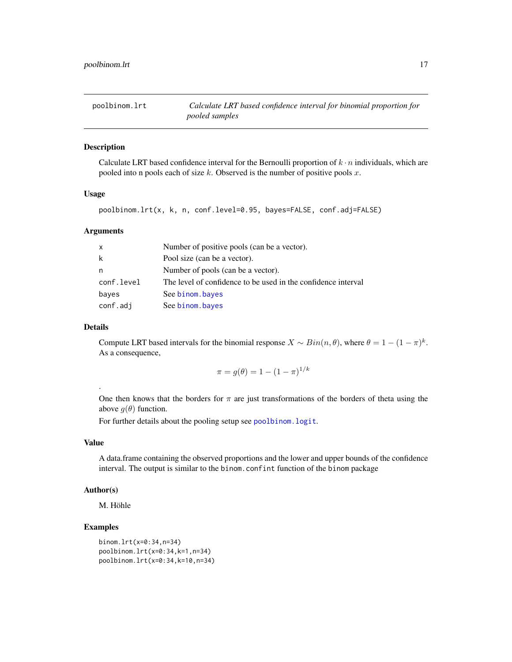<span id="page-16-1"></span><span id="page-16-0"></span>

# Description

Calculate LRT based confidence interval for the Bernoulli proportion of  $k \cdot n$  individuals, which are pooled into n pools each of size  $k$ . Observed is the number of positive pools  $x$ .

#### Usage

poolbinom.lrt(x, k, n, conf.level=0.95, bayes=FALSE, conf.adj=FALSE)

#### Arguments

| $\mathsf{x}$ | Number of positive pools (can be a vector).                   |
|--------------|---------------------------------------------------------------|
| k            | Pool size (can be a vector).                                  |
| n            | Number of pools (can be a vector).                            |
| conf.level   | The level of confidence to be used in the confidence interval |
| bayes        | See binom.bayes                                               |
| conf.adj     | See binom.bayes                                               |

### Details

.

Compute LRT based intervals for the binomial response  $X \sim Bin(n, \theta)$ , where  $\theta = 1 - (1 - \pi)^k$ . As a consequence,

$$
\pi = g(\theta) = 1 - (1 - \pi)^{1/k}
$$

One then knows that the borders for  $\pi$  are just transformations of the borders of theta using the above  $g(\theta)$  function.

For further details about the pooling setup see [poolbinom.logit](#page-14-2).

#### Value

A data.frame containing the observed proportions and the lower and upper bounds of the confidence interval. The output is similar to the binom.confint function of the binom package

# Author(s)

M. Höhle

#### Examples

binom.lrt(x=0:34,n=34) poolbinom.lrt(x=0:34,k=1,n=34) poolbinom.lrt(x=0:34,k=10,n=34)